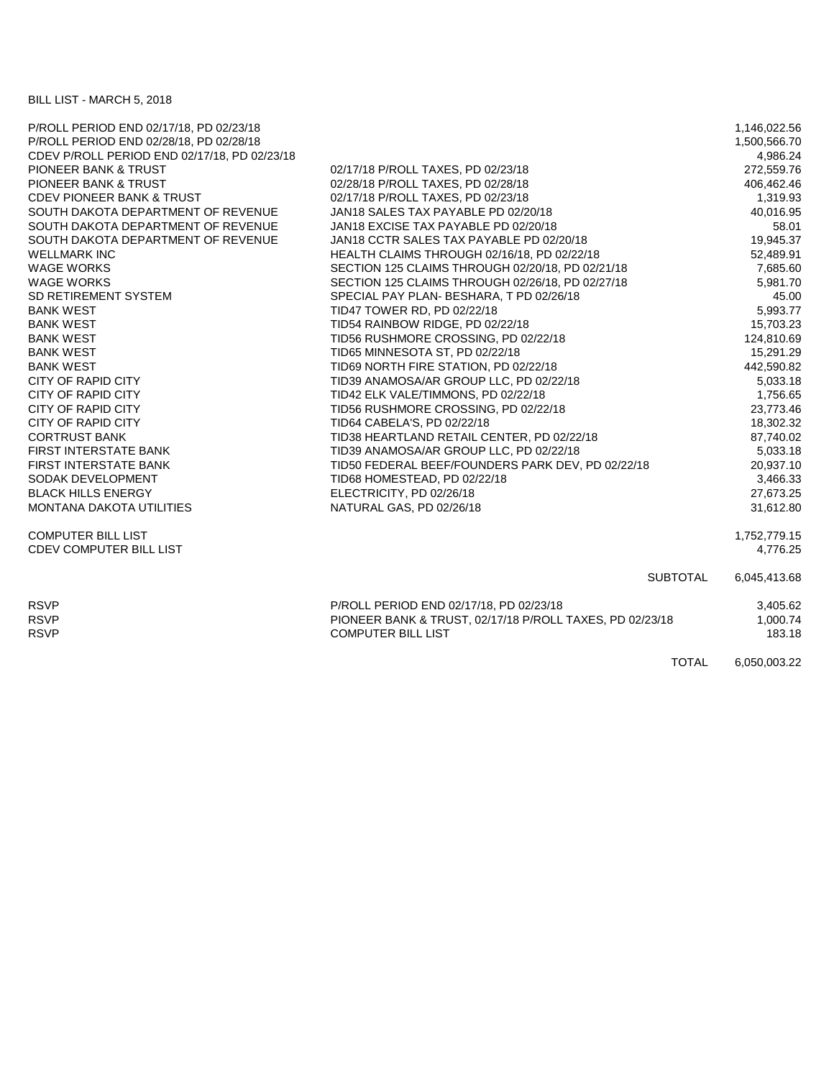BILL LIST - MARCH 5, 2018

| P/ROLL PERIOD END 02/17/18, PD 02/23/18      |                                                          | 1,146,022.56 |
|----------------------------------------------|----------------------------------------------------------|--------------|
| P/ROLL PERIOD END 02/28/18, PD 02/28/18      |                                                          | 1,500,566.70 |
| CDEV P/ROLL PERIOD END 02/17/18, PD 02/23/18 |                                                          | 4,986.24     |
| PIONEER BANK & TRUST                         | 02/17/18 P/ROLL TAXES, PD 02/23/18                       | 272,559.76   |
| PIONEER BANK & TRUST                         | 02/28/18 P/ROLL TAXES, PD 02/28/18                       | 406,462.46   |
| <b>CDEV PIONEER BANK &amp; TRUST</b>         | 02/17/18 P/ROLL TAXES, PD 02/23/18                       | 1,319.93     |
| SOUTH DAKOTA DEPARTMENT OF REVENUE           | JAN18 SALES TAX PAYABLE PD 02/20/18                      | 40,016.95    |
| SOUTH DAKOTA DEPARTMENT OF REVENUE           | JAN18 EXCISE TAX PAYABLE PD 02/20/18                     | 58.01        |
| SOUTH DAKOTA DEPARTMENT OF REVENUE           | JAN18 CCTR SALES TAX PAYABLE PD 02/20/18                 | 19,945.37    |
| <b>WELLMARK INC</b>                          | HEALTH CLAIMS THROUGH 02/16/18, PD 02/22/18              | 52,489.91    |
| <b>WAGE WORKS</b>                            | SECTION 125 CLAIMS THROUGH 02/20/18, PD 02/21/18         | 7,685.60     |
| <b>WAGE WORKS</b>                            | SECTION 125 CLAIMS THROUGH 02/26/18, PD 02/27/18         | 5.981.70     |
| SD RETIREMENT SYSTEM                         | SPECIAL PAY PLAN- BESHARA, T PD 02/26/18                 | 45.00        |
| <b>BANK WEST</b>                             | TID47 TOWER RD, PD 02/22/18                              | 5,993.77     |
| <b>BANK WEST</b>                             | TID54 RAINBOW RIDGE, PD 02/22/18                         | 15,703.23    |
| <b>BANK WEST</b>                             | TID56 RUSHMORE CROSSING, PD 02/22/18                     | 124,810.69   |
| <b>BANK WEST</b>                             | TID65 MINNESOTA ST, PD 02/22/18                          | 15,291.29    |
| <b>BANK WEST</b>                             | TID69 NORTH FIRE STATION, PD 02/22/18                    | 442,590.82   |
| <b>CITY OF RAPID CITY</b>                    | TID39 ANAMOSA/AR GROUP LLC, PD 02/22/18                  | 5,033.18     |
| <b>CITY OF RAPID CITY</b>                    | TID42 ELK VALE/TIMMONS, PD 02/22/18                      | 1,756.65     |
| <b>CITY OF RAPID CITY</b>                    | TID56 RUSHMORE CROSSING, PD 02/22/18                     | 23,773.46    |
| CITY OF RAPID CITY                           | TID64 CABELA'S, PD 02/22/18                              | 18,302.32    |
| <b>CORTRUST BANK</b>                         | TID38 HEARTLAND RETAIL CENTER, PD 02/22/18               | 87,740.02    |
| <b>FIRST INTERSTATE BANK</b>                 | TID39 ANAMOSA/AR GROUP LLC, PD 02/22/18                  | 5,033.18     |
| FIRST INTERSTATE BANK                        | TID50 FEDERAL BEEF/FOUNDERS PARK DEV, PD 02/22/18        | 20,937.10    |
| SODAK DEVELOPMENT                            | TID68 HOMESTEAD, PD 02/22/18                             | 3,466.33     |
| <b>BLACK HILLS ENERGY</b>                    | ELECTRICITY, PD 02/26/18                                 | 27,673.25    |
| MONTANA DAKOTA UTILITIES                     | NATURAL GAS, PD 02/26/18                                 | 31,612.80    |
| <b>COMPUTER BILL LIST</b>                    |                                                          | 1,752,779.15 |
| <b>CDEV COMPUTER BILL LIST</b>               |                                                          | 4,776.25     |
|                                              | <b>SUBTOTAL</b>                                          | 6,045,413.68 |
| <b>RSVP</b>                                  | P/ROLL PERIOD END 02/17/18, PD 02/23/18                  | 3,405.62     |
| <b>RSVP</b>                                  | PIONEER BANK & TRUST, 02/17/18 P/ROLL TAXES, PD 02/23/18 | 1,000.74     |
| <b>RSVP</b>                                  | <b>COMPUTER BILL LIST</b>                                | 183.18       |
|                                              | <b>TOTAL</b>                                             | 6,050,003.22 |
|                                              |                                                          |              |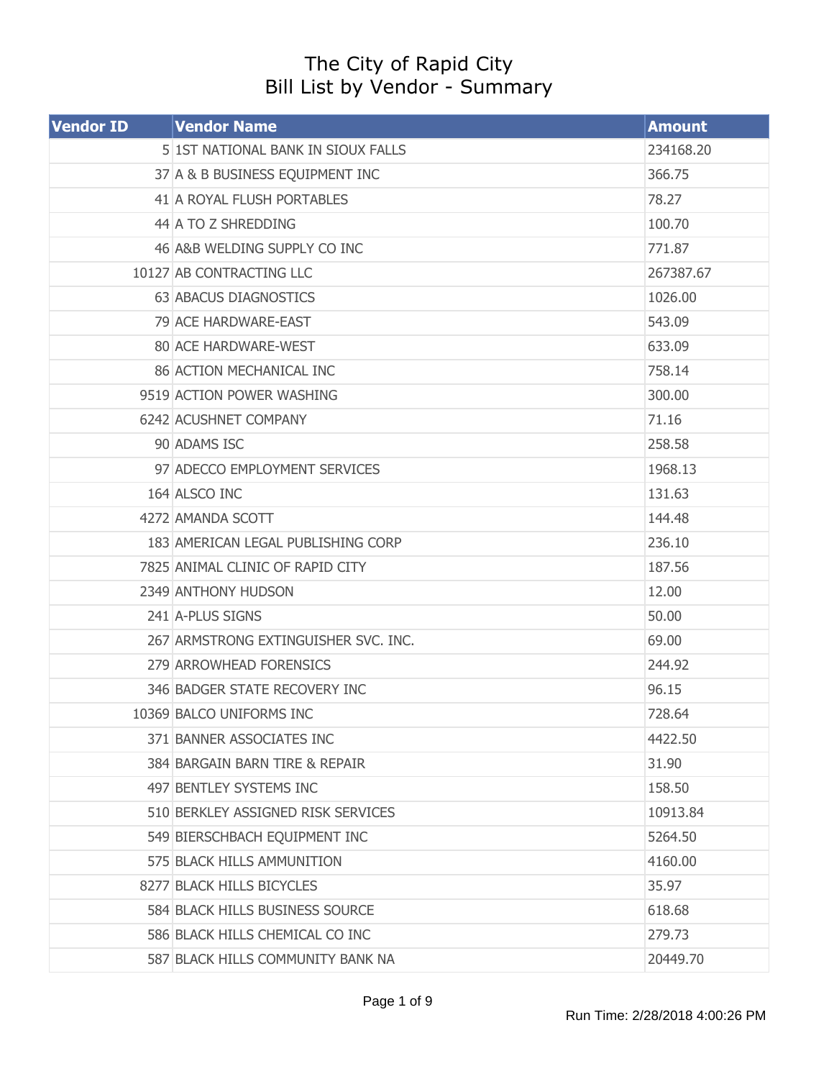## The City of Rapid City Bill List by Vendor - Summary

| <b>Vendor ID</b> | <b>Vendor Name</b>                   | <b>Amount</b> |
|------------------|--------------------------------------|---------------|
|                  | 5 1ST NATIONAL BANK IN SIOUX FALLS   | 234168.20     |
|                  | 37 A & B BUSINESS EQUIPMENT INC      | 366.75        |
|                  | 41 A ROYAL FLUSH PORTABLES           | 78.27         |
|                  | 44 A TO Z SHREDDING                  | 100.70        |
|                  | 46 A&B WELDING SUPPLY CO INC         | 771.87        |
|                  | 10127 AB CONTRACTING LLC             | 267387.67     |
|                  | 63 ABACUS DIAGNOSTICS                | 1026.00       |
|                  | 79 ACE HARDWARE-EAST                 | 543.09        |
|                  | 80 ACE HARDWARE-WEST                 | 633.09        |
|                  | 86 ACTION MECHANICAL INC             | 758.14        |
|                  | 9519 ACTION POWER WASHING            | 300.00        |
|                  | 6242 ACUSHNET COMPANY                | 71.16         |
|                  | 90 ADAMS ISC                         | 258.58        |
|                  | 97 ADECCO EMPLOYMENT SERVICES        | 1968.13       |
|                  | 164 ALSCO INC                        | 131.63        |
|                  | 4272 AMANDA SCOTT                    | 144.48        |
|                  | 183 AMERICAN LEGAL PUBLISHING CORP   | 236.10        |
|                  | 7825 ANIMAL CLINIC OF RAPID CITY     | 187.56        |
|                  | 2349 ANTHONY HUDSON                  | 12.00         |
|                  | 241 A-PLUS SIGNS                     | 50.00         |
|                  | 267 ARMSTRONG EXTINGUISHER SVC. INC. | 69.00         |
|                  | 279 ARROWHEAD FORENSICS              | 244.92        |
|                  | 346 BADGER STATE RECOVERY INC        | 96.15         |
|                  | 10369 BALCO UNIFORMS INC             | 728.64        |
|                  | 371 BANNER ASSOCIATES INC            | 4422.50       |
|                  | 384 BARGAIN BARN TIRE & REPAIR       | 31.90         |
|                  | 497 BENTLEY SYSTEMS INC              | 158.50        |
|                  | 510 BERKLEY ASSIGNED RISK SERVICES   | 10913.84      |
|                  | 549 BIERSCHBACH EQUIPMENT INC        | 5264.50       |
|                  | 575 BLACK HILLS AMMUNITION           | 4160.00       |
|                  | 8277 BLACK HILLS BICYCLES            | 35.97         |
|                  | 584 BLACK HILLS BUSINESS SOURCE      | 618.68        |
|                  | 586 BLACK HILLS CHEMICAL CO INC      | 279.73        |
|                  | 587 BLACK HILLS COMMUNITY BANK NA    | 20449.70      |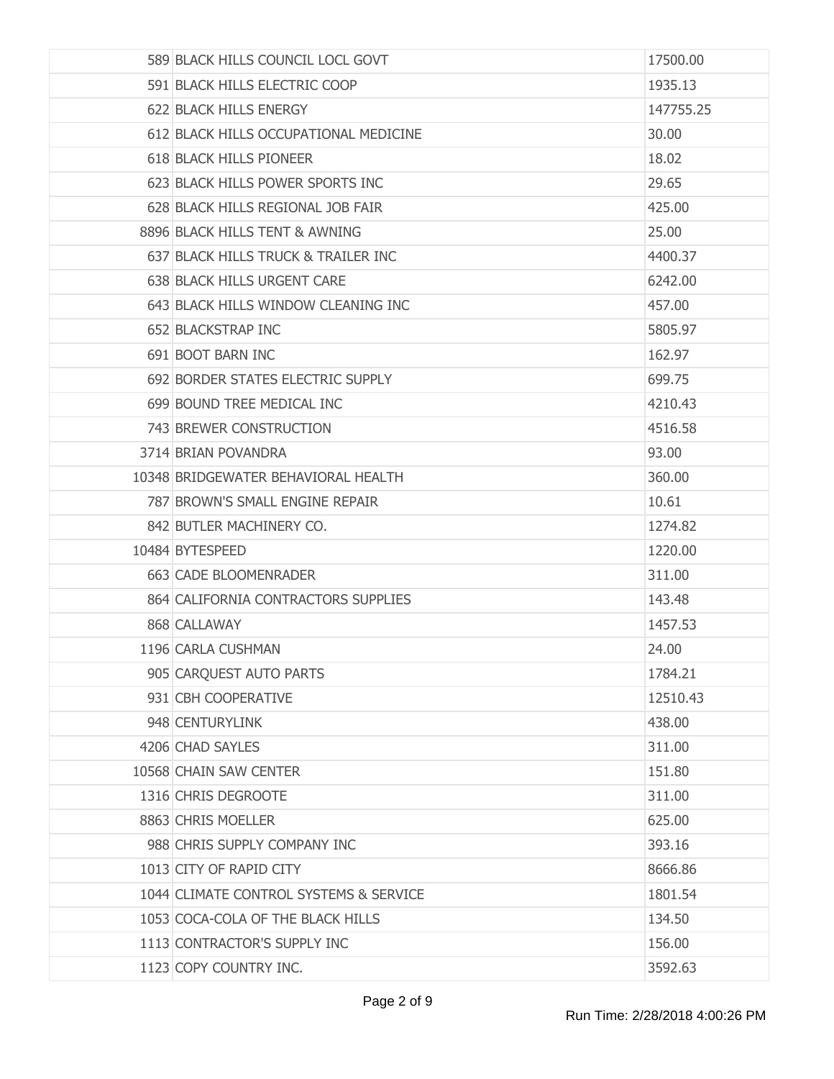| 589 BLACK HILLS COUNCIL LOCL GOVT      | 17500.00  |
|----------------------------------------|-----------|
| 591 BLACK HILLS ELECTRIC COOP          | 1935.13   |
| 622 BLACK HILLS ENERGY                 | 147755.25 |
| 612 BLACK HILLS OCCUPATIONAL MEDICINE  | 30.00     |
| 618 BLACK HILLS PIONEER                | 18.02     |
| 623 BLACK HILLS POWER SPORTS INC       | 29.65     |
| 628 BLACK HILLS REGIONAL JOB FAIR      | 425.00    |
| 8896 BLACK HILLS TENT & AWNING         | 25.00     |
| 637 BLACK HILLS TRUCK & TRAILER INC    | 4400.37   |
| 638 BLACK HILLS URGENT CARE            | 6242.00   |
| 643 BLACK HILLS WINDOW CLEANING INC    | 457.00    |
| 652 BLACKSTRAP INC                     | 5805.97   |
| 691 BOOT BARN INC                      | 162.97    |
| 692 BORDER STATES ELECTRIC SUPPLY      | 699.75    |
| 699 BOUND TREE MEDICAL INC             | 4210.43   |
| 743 BREWER CONSTRUCTION                | 4516.58   |
| 3714 BRIAN POVANDRA                    | 93.00     |
| 10348 BRIDGEWATER BEHAVIORAL HEALTH    | 360.00    |
| 787 BROWN'S SMALL ENGINE REPAIR        | 10.61     |
| 842 BUTLER MACHINERY CO.               | 1274.82   |
| 10484 BYTESPEED                        | 1220.00   |
| 663 CADE BLOOMENRADER                  | 311.00    |
| 864 CALIFORNIA CONTRACTORS SUPPLIES    | 143.48    |
| 868 CALLAWAY                           | 1457.53   |
| 1196 CARLA CUSHMAN                     | 24.00     |
| 905 CARQUEST AUTO PARTS                | 1784.21   |
| 931 CBH COOPERATIVE                    | 12510.43  |
| 948 CENTURYLINK                        | 438.00    |
| 4206 CHAD SAYLES                       | 311.00    |
| 10568 CHAIN SAW CENTER                 | 151.80    |
| 1316 CHRIS DEGROOTE                    | 311.00    |
| 8863 CHRIS MOELLER                     | 625.00    |
| 988 CHRIS SUPPLY COMPANY INC           | 393.16    |
| 1013 CITY OF RAPID CITY                | 8666.86   |
| 1044 CLIMATE CONTROL SYSTEMS & SERVICE | 1801.54   |
| 1053 COCA-COLA OF THE BLACK HILLS      | 134.50    |
| 1113 CONTRACTOR'S SUPPLY INC           | 156.00    |
| 1123 COPY COUNTRY INC.                 | 3592.63   |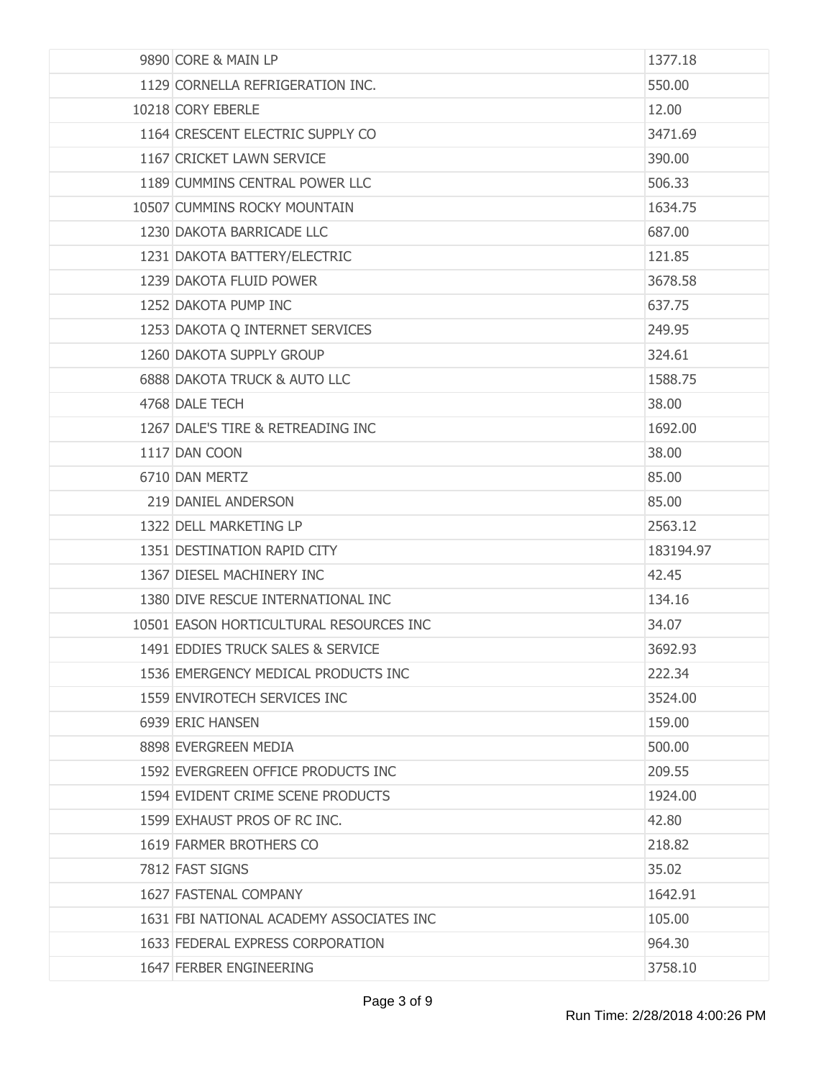| 9890 CORE & MAIN LP                      | 1377.18   |
|------------------------------------------|-----------|
| 1129 CORNELLA REFRIGERATION INC.         | 550.00    |
| 10218 CORY EBERLE                        | 12.00     |
| 1164 CRESCENT ELECTRIC SUPPLY CO         | 3471.69   |
| 1167 CRICKET LAWN SERVICE                | 390.00    |
| 1189 CUMMINS CENTRAL POWER LLC           | 506.33    |
| 10507 CUMMINS ROCKY MOUNTAIN             | 1634.75   |
| 1230 DAKOTA BARRICADE LLC                | 687.00    |
| 1231 DAKOTA BATTERY/ELECTRIC             | 121.85    |
| 1239 DAKOTA FLUID POWER                  | 3678.58   |
| 1252 DAKOTA PUMP INC                     | 637.75    |
| 1253 DAKOTA Q INTERNET SERVICES          | 249.95    |
| 1260 DAKOTA SUPPLY GROUP                 | 324.61    |
| <b>6888 DAKOTA TRUCK &amp; AUTO LLC</b>  | 1588.75   |
| 4768 DALE TECH                           | 38.00     |
| 1267 DALE'S TIRE & RETREADING INC        | 1692.00   |
| 1117 DAN COON                            | 38.00     |
| 6710 DAN MERTZ                           | 85.00     |
| 219 DANIEL ANDERSON                      | 85.00     |
| 1322 DELL MARKETING LP                   | 2563.12   |
| 1351 DESTINATION RAPID CITY              | 183194.97 |
| 1367 DIESEL MACHINERY INC                | 42.45     |
| 1380 DIVE RESCUE INTERNATIONAL INC       | 134.16    |
| 10501 EASON HORTICULTURAL RESOURCES INC  | 34.07     |
| 1491 EDDIES TRUCK SALES & SERVICE        | 3692.93   |
| 1536 EMERGENCY MEDICAL PRODUCTS INC      | 222.34    |
| 1559 ENVIROTECH SERVICES INC             | 3524.00   |
| 6939 ERIC HANSEN                         | 159.00    |
| 8898 EVERGREEN MEDIA                     | 500.00    |
| 1592 EVERGREEN OFFICE PRODUCTS INC       | 209.55    |
| 1594 EVIDENT CRIME SCENE PRODUCTS        | 1924.00   |
| 1599 EXHAUST PROS OF RC INC.             | 42.80     |
| 1619 FARMER BROTHERS CO                  | 218.82    |
| 7812 FAST SIGNS                          | 35.02     |
| 1627 FASTENAL COMPANY                    | 1642.91   |
| 1631 FBI NATIONAL ACADEMY ASSOCIATES INC | 105.00    |
| 1633 FEDERAL EXPRESS CORPORATION         | 964.30    |
| 1647 FERBER ENGINEERING                  | 3758.10   |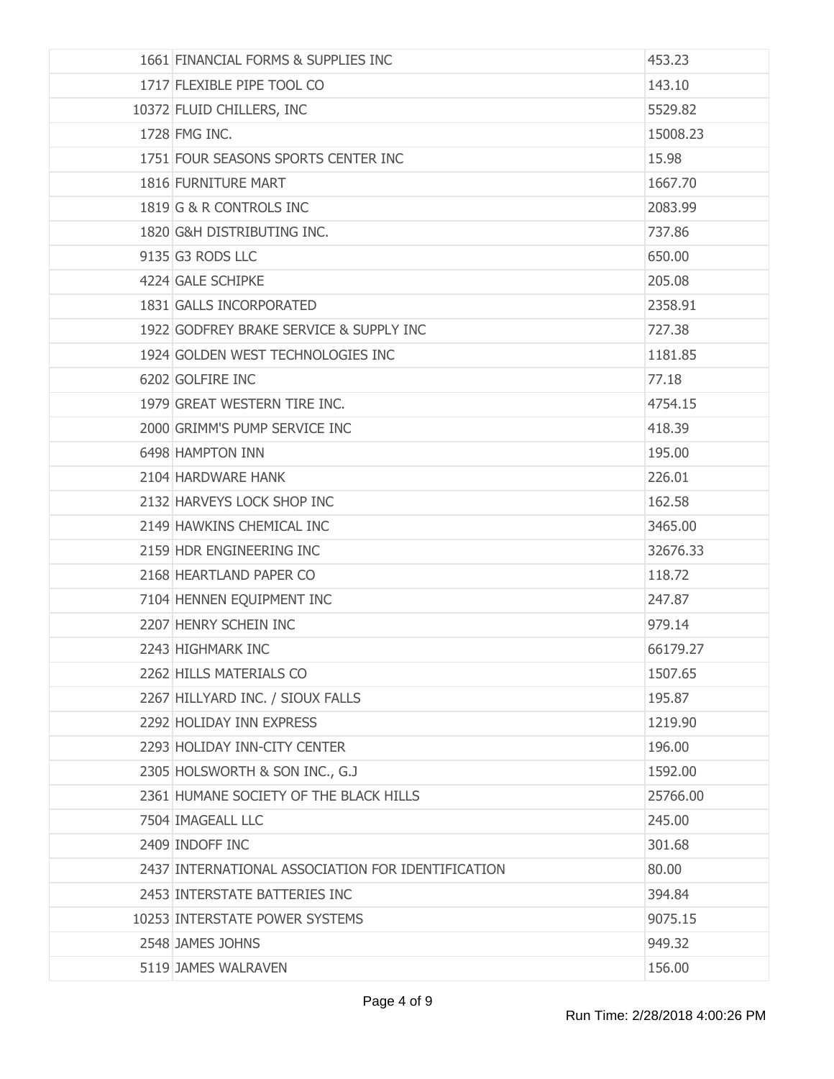| 1661 FINANCIAL FORMS & SUPPLIES INC               | 453.23   |
|---------------------------------------------------|----------|
| 1717 FLEXIBLE PIPE TOOL CO                        | 143.10   |
| 10372 FLUID CHILLERS, INC                         | 5529.82  |
| 1728 FMG INC.                                     | 15008.23 |
| 1751 FOUR SEASONS SPORTS CENTER INC               | 15.98    |
| 1816 FURNITURE MART                               | 1667.70  |
| 1819 G & R CONTROLS INC                           | 2083.99  |
| 1820 G&H DISTRIBUTING INC.                        | 737.86   |
| 9135 G3 RODS LLC                                  | 650.00   |
| 4224 GALE SCHIPKE                                 | 205.08   |
| 1831 GALLS INCORPORATED                           | 2358.91  |
| 1922 GODFREY BRAKE SERVICE & SUPPLY INC           | 727.38   |
| 1924 GOLDEN WEST TECHNOLOGIES INC                 | 1181.85  |
| 6202 GOLFIRE INC                                  | 77.18    |
| 1979 GREAT WESTERN TIRE INC.                      | 4754.15  |
| 2000 GRIMM'S PUMP SERVICE INC                     | 418.39   |
| 6498 HAMPTON INN                                  | 195.00   |
| 2104 HARDWARE HANK                                | 226.01   |
| 2132 HARVEYS LOCK SHOP INC                        | 162.58   |
| 2149 HAWKINS CHEMICAL INC                         | 3465.00  |
| 2159 HDR ENGINEERING INC                          | 32676.33 |
| 2168 HEARTLAND PAPER CO                           | 118.72   |
| 7104 HENNEN EQUIPMENT INC                         | 247.87   |
| 2207 HENRY SCHEIN INC                             | 979.14   |
| 2243 HIGHMARK INC                                 | 66179.27 |
| 2262 HILLS MATERIALS CO                           | 1507.65  |
| 2267 HILLYARD INC. / SIOUX FALLS                  | 195.87   |
| 2292 HOLIDAY INN EXPRESS                          | 1219.90  |
| 2293 HOLIDAY INN-CITY CENTER                      | 196.00   |
| 2305 HOLSWORTH & SON INC., G.J                    | 1592.00  |
| 2361 HUMANE SOCIETY OF THE BLACK HILLS            | 25766.00 |
| 7504 IMAGEALL LLC                                 | 245.00   |
| 2409 INDOFF INC                                   | 301.68   |
| 2437 INTERNATIONAL ASSOCIATION FOR IDENTIFICATION | 80.00    |
| 2453 INTERSTATE BATTERIES INC                     | 394.84   |
| 10253 INTERSTATE POWER SYSTEMS                    | 9075.15  |
| 2548 JAMES JOHNS                                  | 949.32   |
| 5119 JAMES WALRAVEN                               | 156.00   |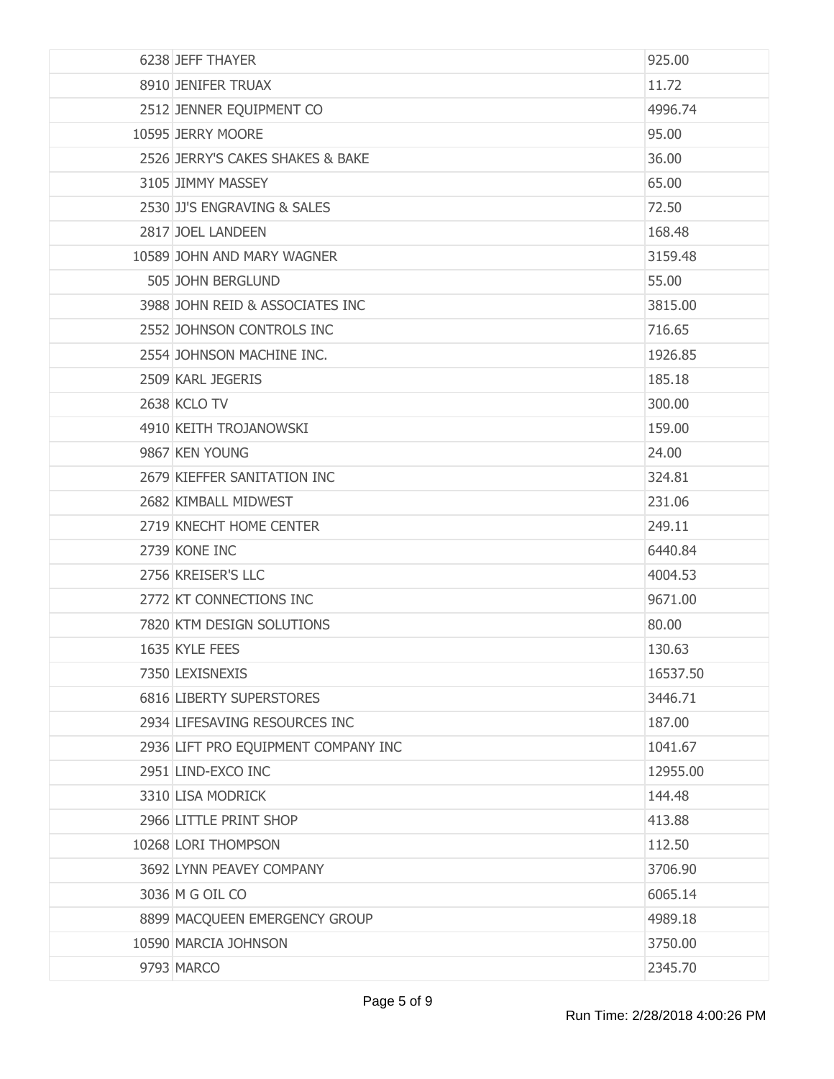| 6238 JEFF THAYER                    | 925.00   |
|-------------------------------------|----------|
| 8910 JENIFER TRUAX                  | 11.72    |
| 2512 JENNER EQUIPMENT CO            | 4996.74  |
| 10595 JERRY MOORE                   | 95.00    |
| 2526 JERRY'S CAKES SHAKES & BAKE    | 36.00    |
| 3105 JIMMY MASSEY                   | 65.00    |
| 2530 JJ'S ENGRAVING & SALES         | 72.50    |
| 2817 JOEL LANDEEN                   | 168,48   |
| 10589 JOHN AND MARY WAGNER          | 3159.48  |
| 505 JOHN BERGLUND                   | 55.00    |
| 3988 JOHN REID & ASSOCIATES INC     | 3815.00  |
| 2552 JOHNSON CONTROLS INC           | 716.65   |
| 2554 JOHNSON MACHINE INC.           | 1926.85  |
| 2509 KARL JEGERIS                   | 185.18   |
| <b>2638 KCLO TV</b>                 | 300.00   |
| 4910 KEITH TROJANOWSKI              | 159.00   |
| 9867 KEN YOUNG                      | 24.00    |
| 2679 KIEFFER SANITATION INC         | 324.81   |
| 2682 KIMBALL MIDWEST                | 231.06   |
| 2719 KNECHT HOME CENTER             | 249.11   |
| 2739 KONE INC                       | 6440.84  |
| 2756 KREISER'S LLC                  | 4004.53  |
| 2772 KT CONNECTIONS INC             | 9671.00  |
| 7820 KTM DESIGN SOLUTIONS           | 80.00    |
| 1635 KYLE FEES                      | 130.63   |
| 7350 LEXISNEXIS                     | 16537.50 |
| 6816 LIBERTY SUPERSTORES            | 3446.71  |
| 2934 LIFESAVING RESOURCES INC       | 187.00   |
| 2936 LIFT PRO EQUIPMENT COMPANY INC | 1041.67  |
| 2951 LIND-EXCO INC                  | 12955.00 |
| 3310 LISA MODRICK                   | 144.48   |
| 2966 LITTLE PRINT SHOP              | 413.88   |
| 10268 LORI THOMPSON                 | 112.50   |
| 3692 LYNN PEAVEY COMPANY            | 3706.90  |
| 3036 M G OIL CO                     | 6065.14  |
| 8899 MACQUEEN EMERGENCY GROUP       | 4989.18  |
| 10590 MARCIA JOHNSON                | 3750.00  |
| 9793 MARCO                          | 2345.70  |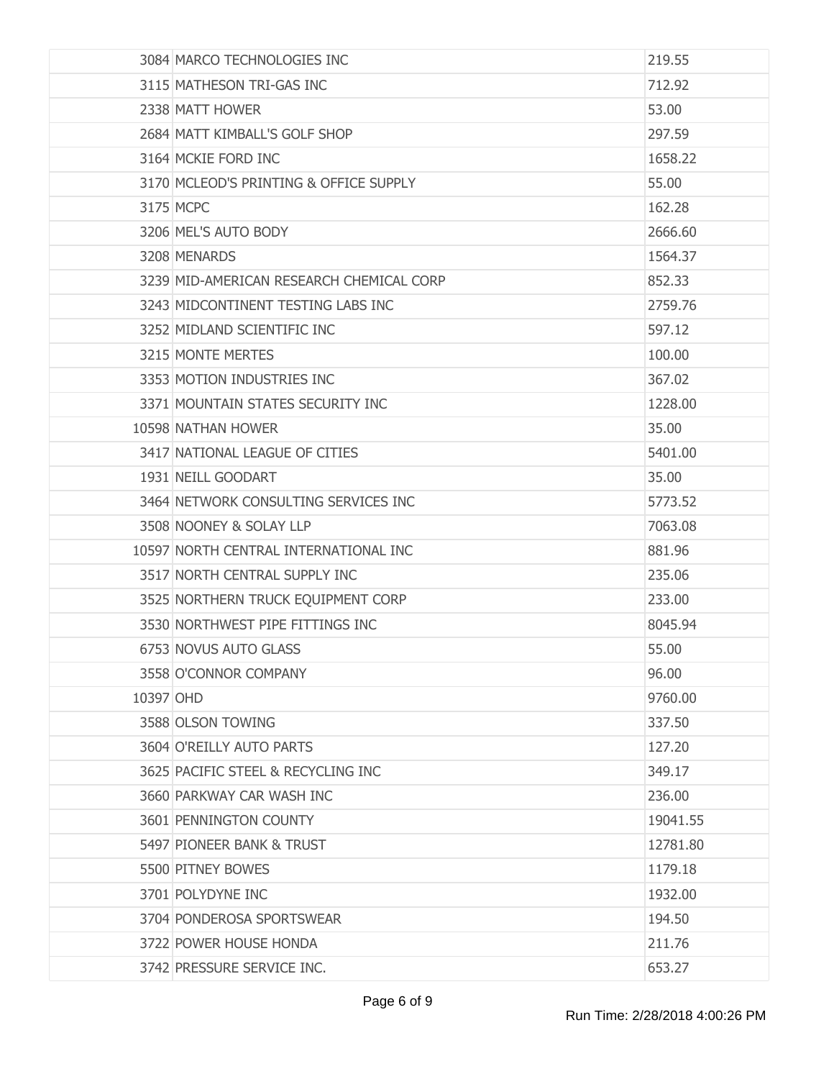|           | 3084 MARCO TECHNOLOGIES INC              | 219.55   |
|-----------|------------------------------------------|----------|
|           | 3115 MATHESON TRI-GAS INC                | 712.92   |
|           | 2338 MATT HOWER                          | 53.00    |
|           | 2684 MATT KIMBALL'S GOLF SHOP            | 297.59   |
|           | 3164 MCKIE FORD INC                      | 1658.22  |
|           | 3170 MCLEOD'S PRINTING & OFFICE SUPPLY   | 55.00    |
|           | 3175 MCPC                                | 162.28   |
|           | 3206 MEL'S AUTO BODY                     | 2666.60  |
|           | 3208 MENARDS                             | 1564.37  |
|           | 3239 MID-AMERICAN RESEARCH CHEMICAL CORP | 852.33   |
|           | 3243 MIDCONTINENT TESTING LABS INC       | 2759.76  |
|           | 3252 MIDLAND SCIENTIFIC INC              | 597.12   |
|           | 3215 MONTE MERTES                        | 100.00   |
|           | 3353 MOTION INDUSTRIES INC               | 367.02   |
|           | 3371 MOUNTAIN STATES SECURITY INC        | 1228.00  |
|           | 10598 NATHAN HOWER                       | 35.00    |
|           | 3417 NATIONAL LEAGUE OF CITIES           | 5401.00  |
|           | 1931 NEILL GOODART                       | 35.00    |
|           | 3464 NETWORK CONSULTING SERVICES INC     | 5773.52  |
|           | 3508 NOONEY & SOLAY LLP                  | 7063.08  |
|           | 10597 NORTH CENTRAL INTERNATIONAL INC    | 881.96   |
|           | 3517 NORTH CENTRAL SUPPLY INC            | 235.06   |
|           | 3525 NORTHERN TRUCK EQUIPMENT CORP       | 233.00   |
|           | 3530 NORTHWEST PIPE FITTINGS INC         | 8045.94  |
|           | 6753 NOVUS AUTO GLASS                    | 55.00    |
|           | 3558 O'CONNOR COMPANY                    | 96.00    |
| 10397 OHD |                                          | 9760.00  |
|           | 3588 OLSON TOWING                        | 337.50   |
|           | 3604 O'REILLY AUTO PARTS                 | 127.20   |
|           | 3625 PACIFIC STEEL & RECYCLING INC       | 349.17   |
|           | 3660 PARKWAY CAR WASH INC                | 236.00   |
|           | 3601 PENNINGTON COUNTY                   | 19041.55 |
|           | 5497 PIONEER BANK & TRUST                | 12781.80 |
|           | 5500 PITNEY BOWES                        | 1179.18  |
|           | 3701 POLYDYNE INC                        | 1932.00  |
|           | 3704 PONDEROSA SPORTSWEAR                | 194.50   |
|           | 3722 POWER HOUSE HONDA                   | 211.76   |
|           | 3742 PRESSURE SERVICE INC.               | 653.27   |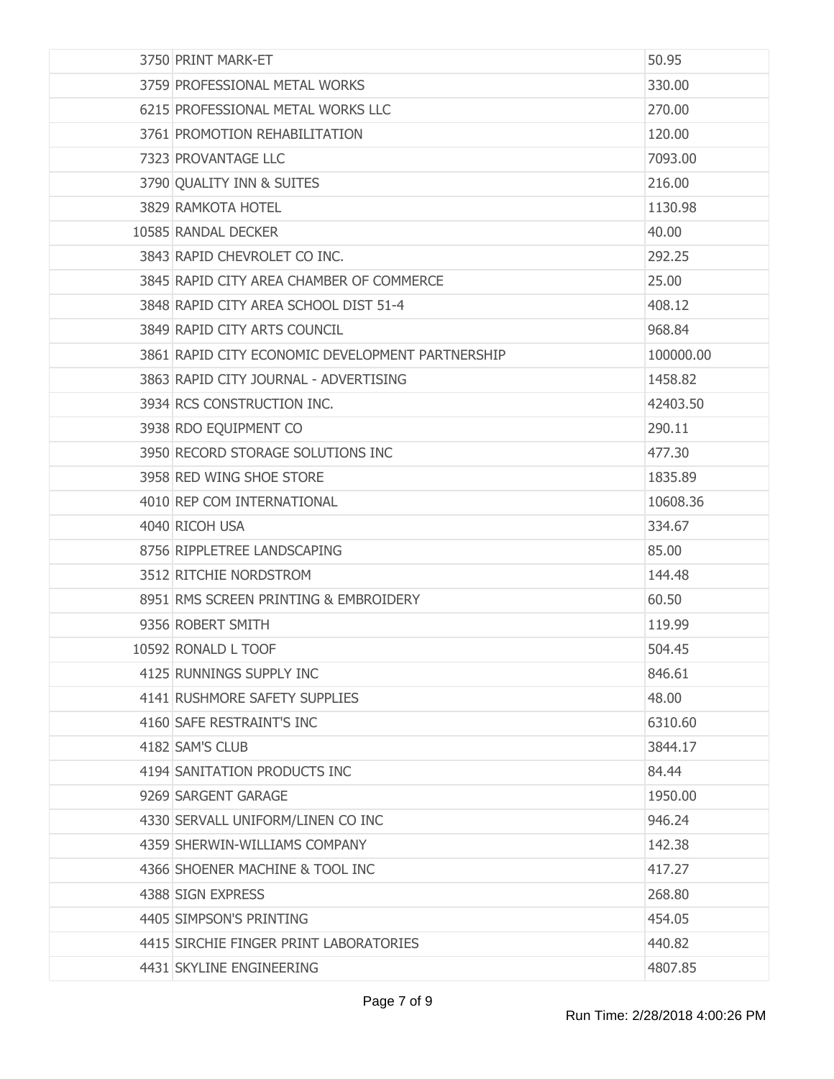| 3750 PRINT MARK-ET                               | 50.95     |
|--------------------------------------------------|-----------|
| 3759 PROFESSIONAL METAL WORKS                    | 330.00    |
| 6215 PROFESSIONAL METAL WORKS LLC                | 270.00    |
| 3761 PROMOTION REHABILITATION                    | 120.00    |
| 7323 PROVANTAGE LLC                              | 7093.00   |
| 3790 QUALITY INN & SUITES                        | 216.00    |
| 3829 RAMKOTA HOTEL                               | 1130.98   |
| 10585 RANDAL DECKER                              | 40.00     |
| 3843 RAPID CHEVROLET CO INC.                     | 292.25    |
| 3845 RAPID CITY AREA CHAMBER OF COMMERCE         | 25.00     |
| 3848 RAPID CITY AREA SCHOOL DIST 51-4            | 408.12    |
| 3849 RAPID CITY ARTS COUNCIL                     | 968.84    |
| 3861 RAPID CITY ECONOMIC DEVELOPMENT PARTNERSHIP | 100000.00 |
| 3863 RAPID CITY JOURNAL - ADVERTISING            | 1458.82   |
| 3934 RCS CONSTRUCTION INC.                       | 42403.50  |
| 3938 RDO EQUIPMENT CO                            | 290.11    |
| 3950 RECORD STORAGE SOLUTIONS INC                | 477.30    |
| 3958 RED WING SHOE STORE                         | 1835.89   |
| 4010 REP COM INTERNATIONAL                       | 10608.36  |
| 4040 RICOH USA                                   | 334.67    |
| 8756 RIPPLETREE LANDSCAPING                      | 85.00     |
| 3512 RITCHIE NORDSTROM                           | 144.48    |
| 8951 RMS SCREEN PRINTING & EMBROIDERY            | 60.50     |
| 9356 ROBERT SMITH                                | 119.99    |
| 10592 RONALD L TOOF                              | 504.45    |
| 4125 RUNNINGS SUPPLY INC                         | 846.61    |
| 4141 RUSHMORE SAFETY SUPPLIES                    | 48.00     |
| 4160 SAFE RESTRAINT'S INC                        | 6310.60   |
| 4182 SAM'S CLUB                                  | 3844.17   |
| 4194 SANITATION PRODUCTS INC                     | 84.44     |
| 9269 SARGENT GARAGE                              | 1950.00   |
| 4330 SERVALL UNIFORM/LINEN CO INC                | 946.24    |
| 4359 SHERWIN-WILLIAMS COMPANY                    | 142.38    |
| 4366 SHOENER MACHINE & TOOL INC                  | 417.27    |
| 4388 SIGN EXPRESS                                | 268.80    |
| 4405 SIMPSON'S PRINTING                          | 454.05    |
| 4415 SIRCHIE FINGER PRINT LABORATORIES           | 440.82    |
| 4431 SKYLINE ENGINEERING                         | 4807.85   |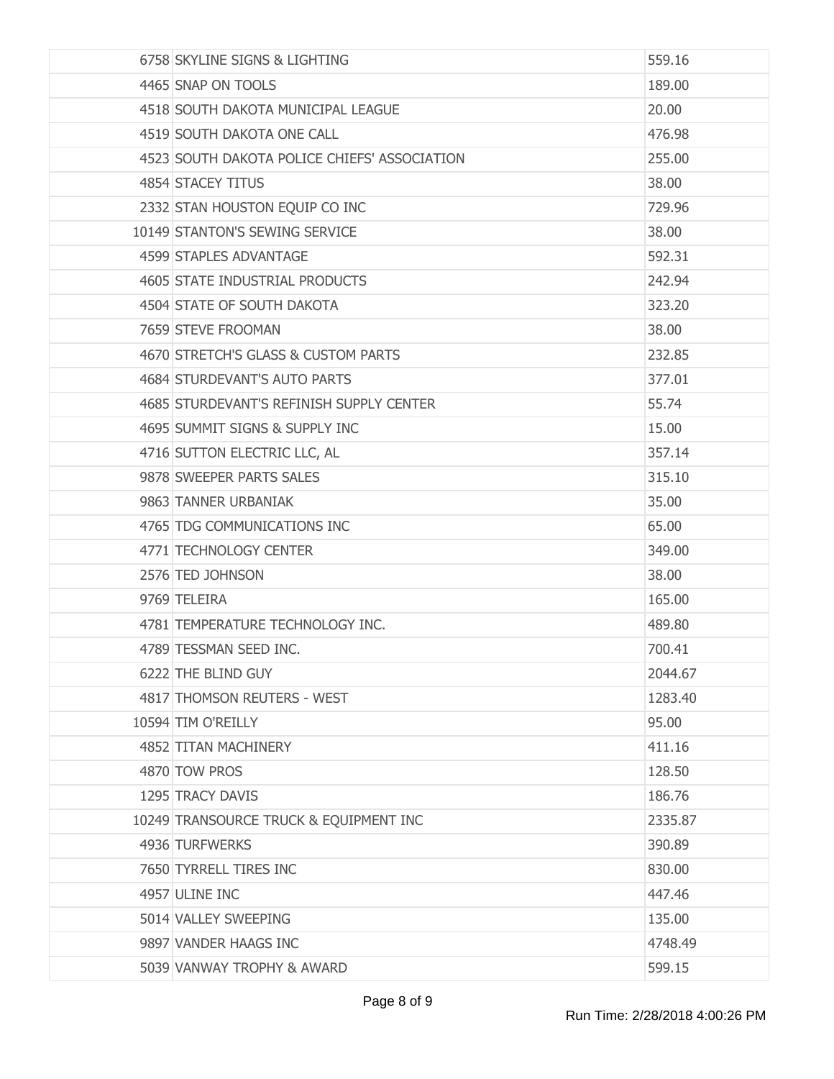| 6758 SKYLINE SIGNS & LIGHTING                | 559.16  |
|----------------------------------------------|---------|
| 4465 SNAP ON TOOLS                           | 189.00  |
| 4518 SOUTH DAKOTA MUNICIPAL LEAGUE           | 20.00   |
| 4519 SOUTH DAKOTA ONE CALL                   | 476.98  |
| 4523 SOUTH DAKOTA POLICE CHIEFS' ASSOCIATION | 255.00  |
| 4854 STACEY TITUS                            | 38.00   |
| 2332 STAN HOUSTON EQUIP CO INC               | 729.96  |
| 10149 STANTON'S SEWING SERVICE               | 38.00   |
| 4599 STAPLES ADVANTAGE                       | 592.31  |
| 4605 STATE INDUSTRIAL PRODUCTS               | 242.94  |
| 4504 STATE OF SOUTH DAKOTA                   | 323.20  |
| 7659 STEVE FROOMAN                           | 38.00   |
| 4670 STRETCH'S GLASS & CUSTOM PARTS          | 232.85  |
| 4684 STURDEVANT'S AUTO PARTS                 | 377.01  |
| 4685 STURDEVANT'S REFINISH SUPPLY CENTER     | 55.74   |
| 4695 SUMMIT SIGNS & SUPPLY INC               | 15.00   |
| 4716 SUTTON ELECTRIC LLC, AL                 | 357.14  |
| 9878 SWEEPER PARTS SALES                     | 315.10  |
| 9863 TANNER URBANIAK                         | 35.00   |
| 4765 TDG COMMUNICATIONS INC                  | 65.00   |
| 4771 TECHNOLOGY CENTER                       | 349.00  |
| 2576 TED JOHNSON                             | 38.00   |
| 9769 TELEIRA                                 | 165.00  |
| 4781 TEMPERATURE TECHNOLOGY INC.             | 489.80  |
| 4789 TESSMAN SEED INC.                       | 700.41  |
| 6222 THE BLIND GUY                           | 2044.67 |
| 4817 THOMSON REUTERS - WEST                  | 1283.40 |
| 10594 TIM O'REILLY                           | 95.00   |
| 4852 TITAN MACHINERY                         | 411.16  |
| 4870 TOW PROS                                | 128.50  |
| 1295 TRACY DAVIS                             | 186,76  |
| 10249 TRANSOURCE TRUCK & EQUIPMENT INC       | 2335.87 |
| 4936 TURFWERKS                               | 390.89  |
| 7650 TYRRELL TIRES INC                       | 830.00  |
| 4957 ULINE INC                               | 447.46  |
| 5014 VALLEY SWEEPING                         | 135.00  |
| 9897 VANDER HAAGS INC                        | 4748.49 |
| 5039 VANWAY TROPHY & AWARD                   | 599.15  |